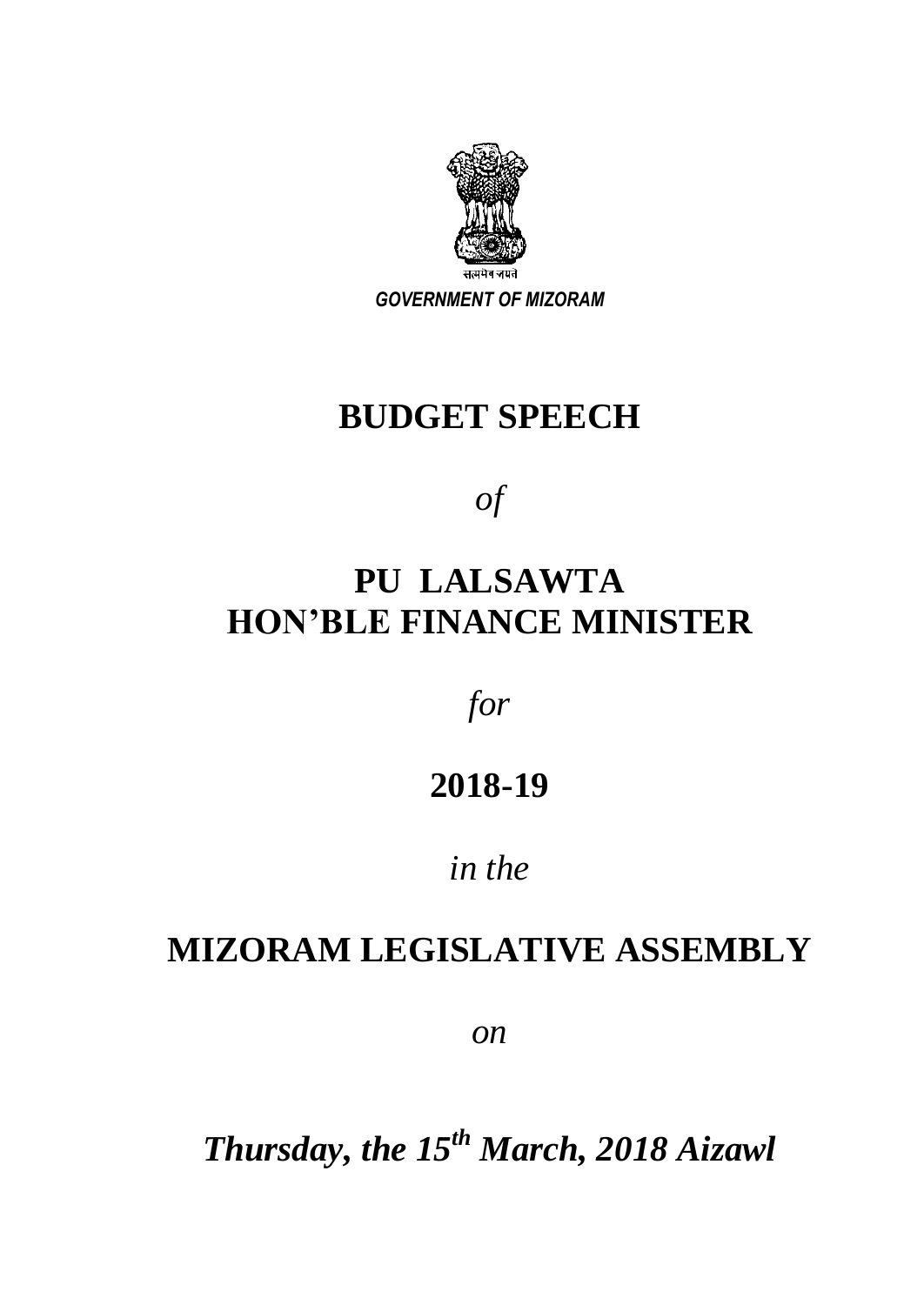

*GOVERNMENT OF MIZORAM*

# **BUDGET SPEECH**

*of*

# **PU LALSAWTA HON'BLE FINANCE MINISTER**

*for*

## **2018-19**

## *in the*

## **MIZORAM LEGISLATIVE ASSEMBLY**

*on*

*Thursday, the 15 th March, 2018 Aizawl*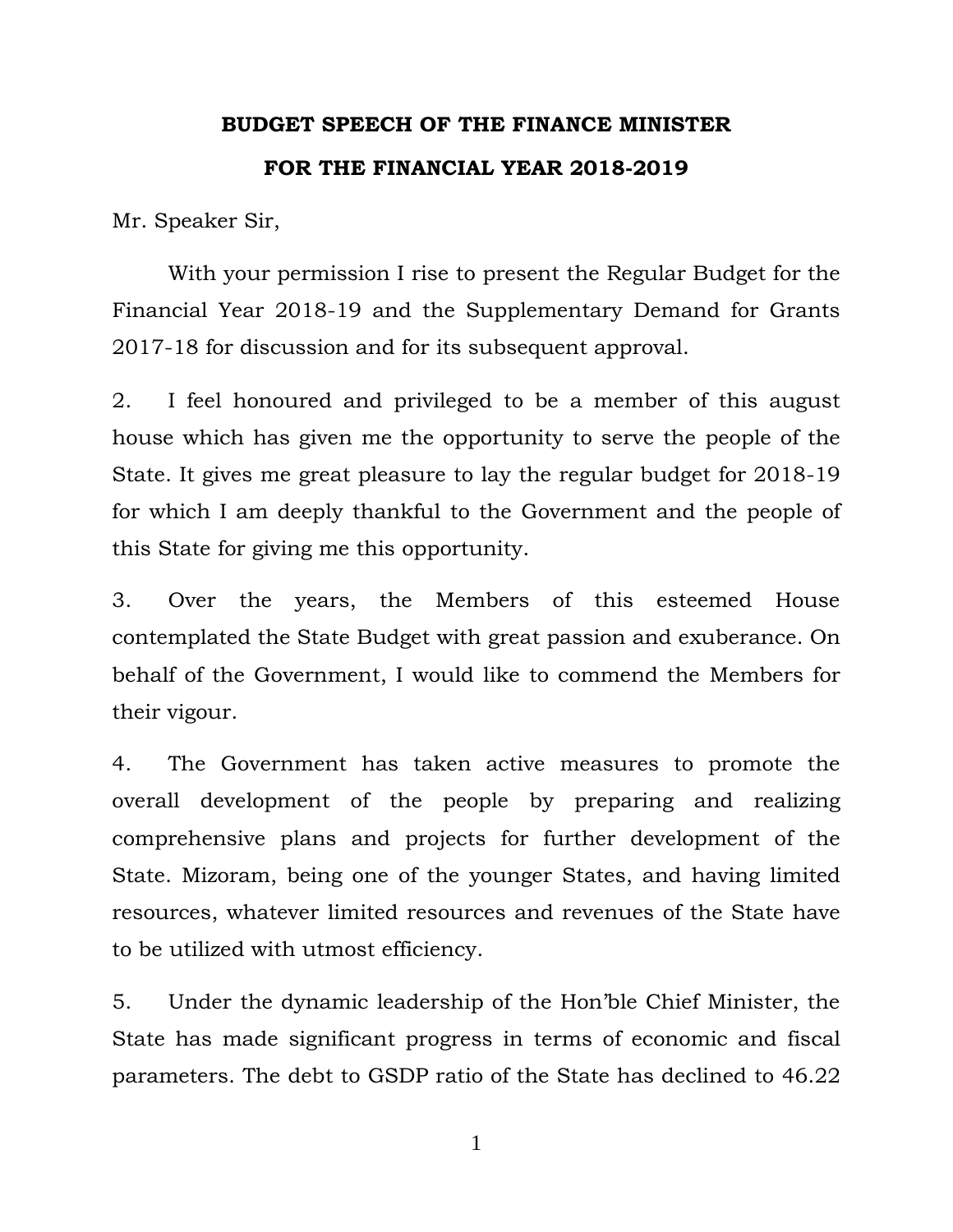## **BUDGET SPEECH OF THE FINANCE MINISTER FOR THE FINANCIAL YEAR 2018-2019**

Mr. Speaker Sir,

With your permission I rise to present the Regular Budget for the Financial Year 2018-19 and the Supplementary Demand for Grants 2017-18 for discussion and for its subsequent approval.

2. I feel honoured and privileged to be a member of this august house which has given me the opportunity to serve the people of the State. It gives me great pleasure to lay the regular budget for 2018-19 for which I am deeply thankful to the Government and the people of this State for giving me this opportunity.

3. Over the years, the Members of this esteemed House contemplated the State Budget with great passion and exuberance. On behalf of the Government, I would like to commend the Members for their vigour.

4. The Government has taken active measures to promote the overall development of the people by preparing and realizing comprehensive plans and projects for further development of the State. Mizoram, being one of the younger States, and having limited resources, whatever limited resources and revenues of the State have to be utilized with utmost efficiency.

5. Under the dynamic leadership of the Hon"ble Chief Minister, the State has made significant progress in terms of economic and fiscal parameters. The debt to GSDP ratio of the State has declined to 46.22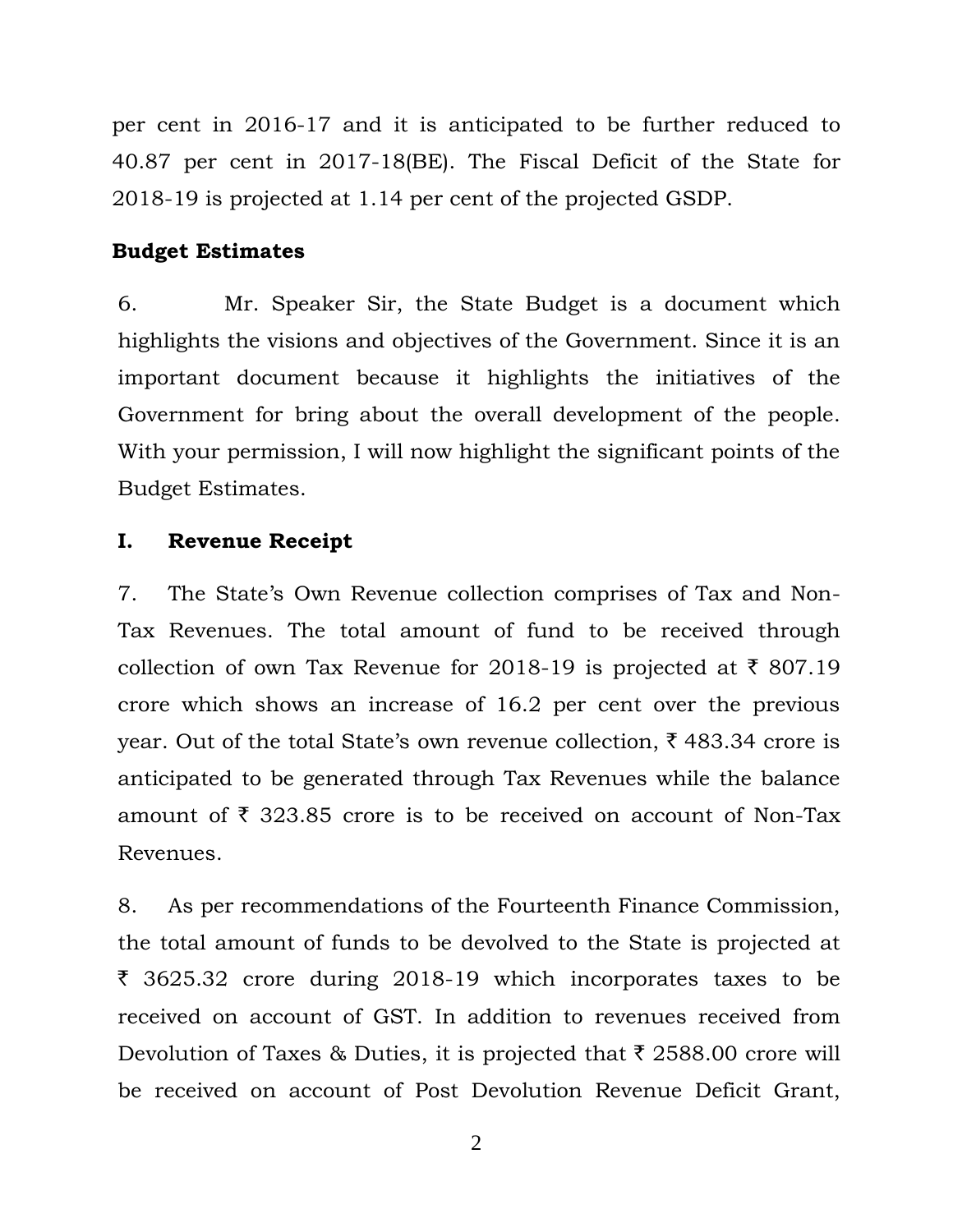per cent in 2016-17 and it is anticipated to be further reduced to 40.87 per cent in 2017-18(BE). The Fiscal Deficit of the State for 2018-19 is projected at 1.14 per cent of the projected GSDP.

## **Budget Estimates**

6. Mr. Speaker Sir, the State Budget is a document which highlights the visions and objectives of the Government. Since it is an important document because it highlights the initiatives of the Government for bring about the overall development of the people. With your permission, I will now highlight the significant points of the Budget Estimates.

### **I. Revenue Receipt**

7. The State"s Own Revenue collection comprises of Tax and Non-Tax Revenues. The total amount of fund to be received through collection of own Tax Revenue for 2018-19 is projected at  $\bar{\tau}$  807.19 crore which shows an increase of 16.2 per cent over the previous year. Out of the total State's own revenue collection,  $\bar{\tau}$  483.34 crore is anticipated to be generated through Tax Revenues while the balance amount of  $\bar{\xi}$  323.85 crore is to be received on account of Non-Tax Revenues.

8. As per recommendations of the Fourteenth Finance Commission, the total amount of funds to be devolved to the State is projected at  $\bar{\tau}$  3625.32 crore during 2018-19 which incorporates taxes to be received on account of GST. In addition to revenues received from Devolution of Taxes & Duties, it is projected that  $\bar{\tau}$  2588.00 crore will be received on account of Post Devolution Revenue Deficit Grant,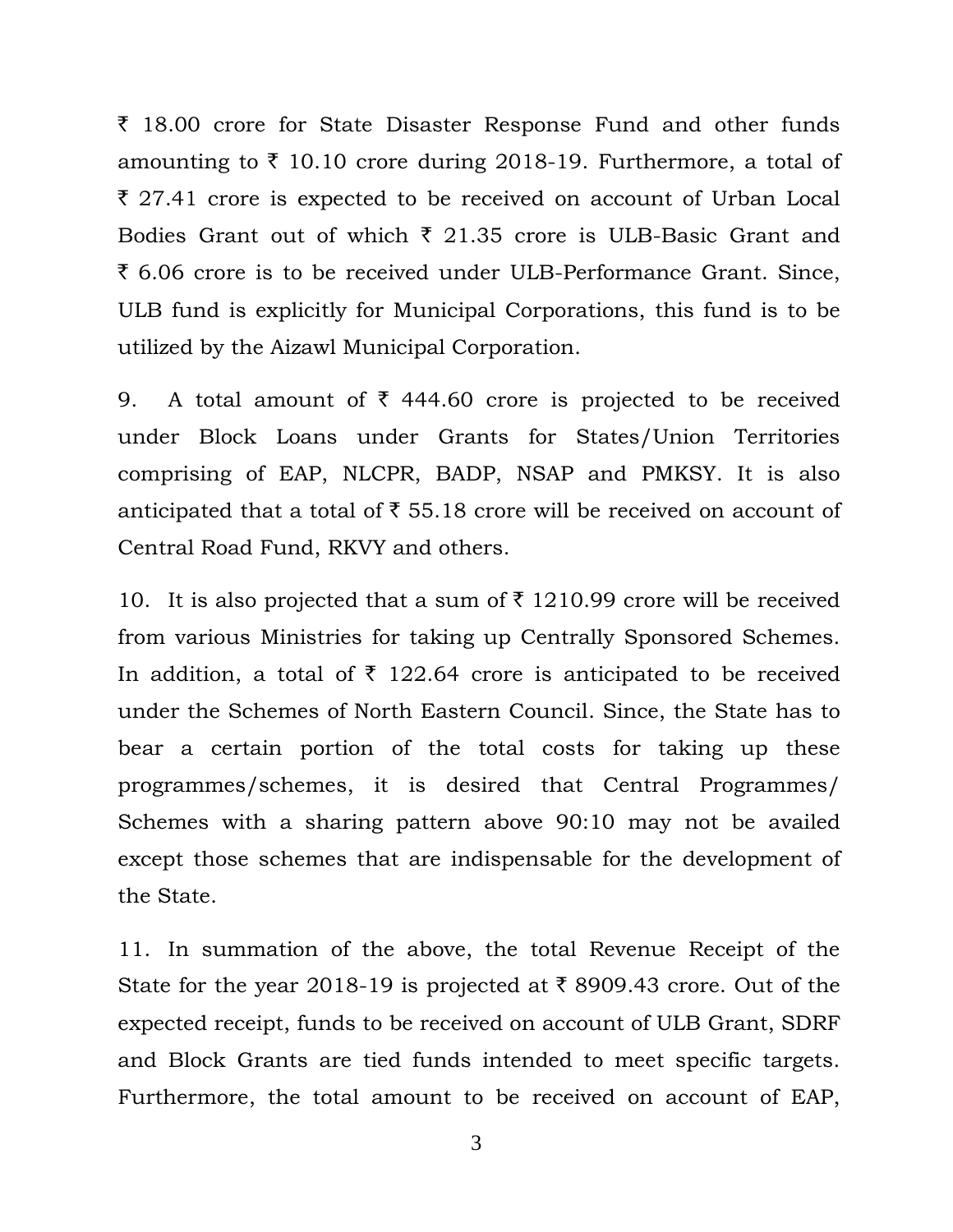$\bar{\tau}$  18.00 crore for State Disaster Response Fund and other funds amounting to  $\bar{\tau}$  10.10 crore during 2018-19. Furthermore, a total of  $\bar{\tau}$  27.41 crore is expected to be received on account of Urban Local Bodies Grant out of which  $\bar{\tau}$  21.35 crore is ULB-Basic Grant and ` 6.06 crore is to be received under ULB-Performance Grant. Since, ULB fund is explicitly for Municipal Corporations, this fund is to be utilized by the Aizawl Municipal Corporation.

9. A total amount of  $\bar{\tau}$  444.60 crore is projected to be received under Block Loans under Grants for States/Union Territories comprising of EAP, NLCPR, BADP, NSAP and PMKSY. It is also anticipated that a total of  $\bar{\xi}$  55.18 crore will be received on account of Central Road Fund, RKVY and others.

10. It is also projected that a sum of  $\bar{\tau}$  1210.99 crore will be received from various Ministries for taking up Centrally Sponsored Schemes. In addition, a total of  $\bar{\tau}$  122.64 crore is anticipated to be received under the Schemes of North Eastern Council. Since, the State has to bear a certain portion of the total costs for taking up these programmes/schemes, it is desired that Central Programmes/ Schemes with a sharing pattern above 90:10 may not be availed except those schemes that are indispensable for the development of the State.

11. In summation of the above, the total Revenue Receipt of the State for the year 2018-19 is projected at  $\bar{\tau}$  8909.43 crore. Out of the expected receipt, funds to be received on account of ULB Grant, SDRF and Block Grants are tied funds intended to meet specific targets. Furthermore, the total amount to be received on account of EAP,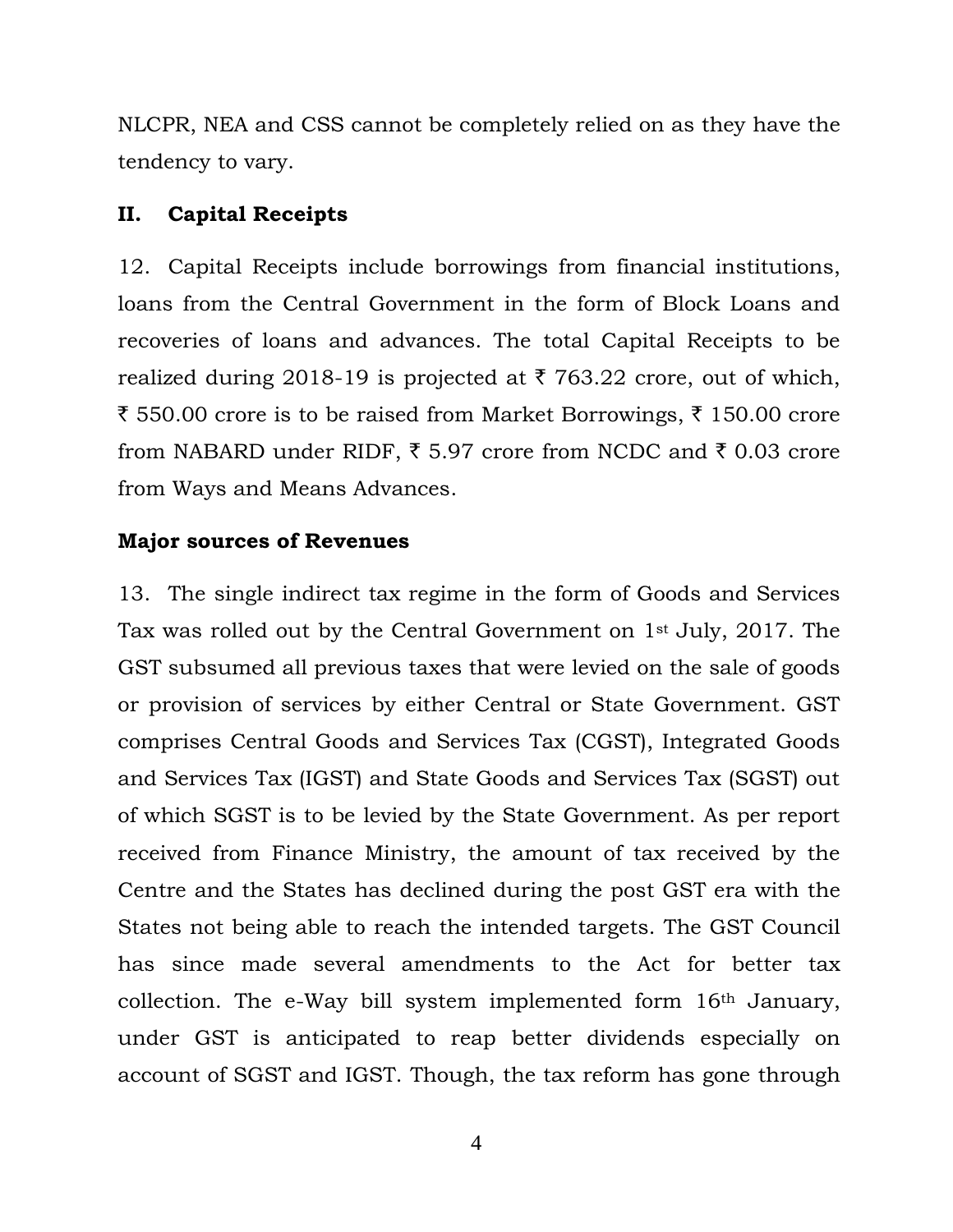NLCPR, NEA and CSS cannot be completely relied on as they have the tendency to vary.

## **II. Capital Receipts**

12. Capital Receipts include borrowings from financial institutions, loans from the Central Government in the form of Block Loans and recoveries of loans and advances. The total Capital Receipts to be realized during 2018-19 is projected at  $\bar{\tau}$  763.22 crore, out of which, ₹ 550.00 crore is to be raised from Market Borrowings, ₹ 150.00 crore from NABARD under RIDF,  $\bar{\tau}$  5.97 crore from NCDC and  $\bar{\tau}$  0.03 crore from Ways and Means Advances.

## **Major sources of Revenues**

13. The single indirect tax regime in the form of Goods and Services Tax was rolled out by the Central Government on 1st July, 2017. The GST subsumed all previous taxes that were levied on the sale of goods or provision of services by either Central or State Government. GST comprises Central Goods and Services Tax (CGST), Integrated Goods and Services Tax (IGST) and State Goods and Services Tax (SGST) out of which SGST is to be levied by the State Government. As per report received from Finance Ministry, the amount of tax received by the Centre and the States has declined during the post GST era with the States not being able to reach the intended targets. The GST Council has since made several amendments to the Act for better tax collection. The e-Way bill system implemented form 16th January, under GST is anticipated to reap better dividends especially on account of SGST and IGST. Though, the tax reform has gone through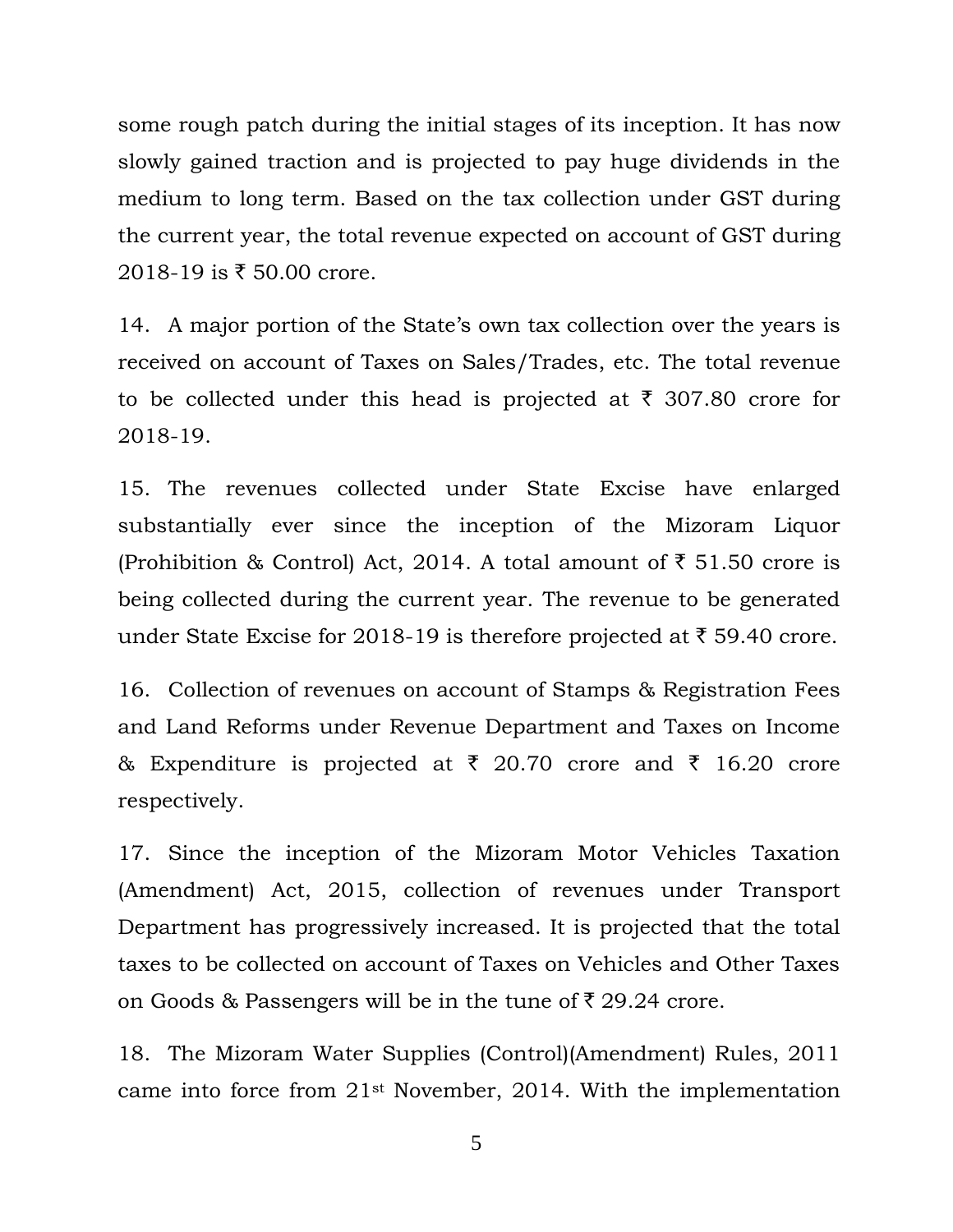some rough patch during the initial stages of its inception. It has now slowly gained traction and is projected to pay huge dividends in the medium to long term. Based on the tax collection under GST during the current year, the total revenue expected on account of GST during 2018-19 is ₹ 50.00 crore.

14. A major portion of the State"s own tax collection over the years is received on account of Taxes on Sales/Trades, etc. The total revenue to be collected under this head is projected at  $\bar{\tau}$  307.80 crore for 2018-19.

15. The revenues collected under State Excise have enlarged substantially ever since the inception of the Mizoram Liquor (Prohibition & Control) Act, 2014. A total amount of  $\bar{\tau}$  51.50 crore is being collected during the current year. The revenue to be generated under State Excise for 2018-19 is therefore projected at  $\bar{\tau}$  59.40 crore.

16. Collection of revenues on account of Stamps & Registration Fees and Land Reforms under Revenue Department and Taxes on Income & Expenditure is projected at  $\bar{\tau}$  20.70 crore and  $\bar{\tau}$  16.20 crore respectively.

17. Since the inception of the Mizoram Motor Vehicles Taxation (Amendment) Act, 2015, collection of revenues under Transport Department has progressively increased. It is projected that the total taxes to be collected on account of Taxes on Vehicles and Other Taxes on Goods & Passengers will be in the tune of  $\bar{\tau}$  29.24 crore.

18. The Mizoram Water Supplies (Control)(Amendment) Rules, 2011 came into force from 21st November, 2014. With the implementation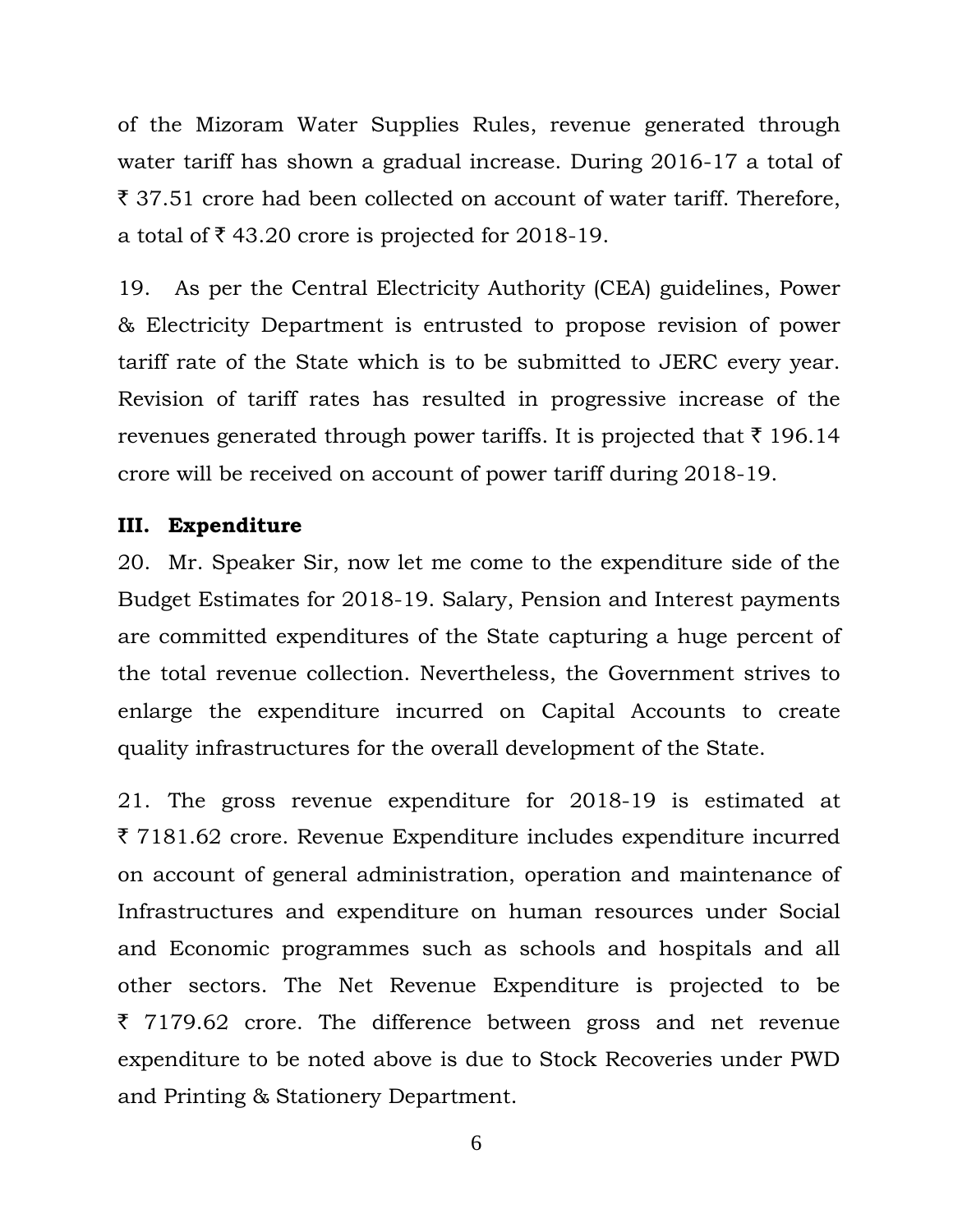of the Mizoram Water Supplies Rules, revenue generated through water tariff has shown a gradual increase. During 2016-17 a total of ` 37.51 crore had been collected on account of water tariff. Therefore, a total of  $\bar{\tau}$  43.20 crore is projected for 2018-19.

19. As per the Central Electricity Authority (CEA) guidelines, Power & Electricity Department is entrusted to propose revision of power tariff rate of the State which is to be submitted to JERC every year. Revision of tariff rates has resulted in progressive increase of the revenues generated through power tariffs. It is projected that  $\bar{\tau}$  196.14 crore will be received on account of power tariff during 2018-19.

### **III. Expenditure**

20. Mr. Speaker Sir, now let me come to the expenditure side of the Budget Estimates for 2018-19. Salary, Pension and Interest payments are committed expenditures of the State capturing a huge percent of the total revenue collection. Nevertheless, the Government strives to enlarge the expenditure incurred on Capital Accounts to create quality infrastructures for the overall development of the State.

21. The gross revenue expenditure for 2018-19 is estimated at ` 7181.62 crore. Revenue Expenditure includes expenditure incurred on account of general administration, operation and maintenance of Infrastructures and expenditure on human resources under Social and Economic programmes such as schools and hospitals and all other sectors. The Net Revenue Expenditure is projected to be  $\bar{\tau}$  7179.62 crore. The difference between gross and net revenue expenditure to be noted above is due to Stock Recoveries under PWD and Printing & Stationery Department.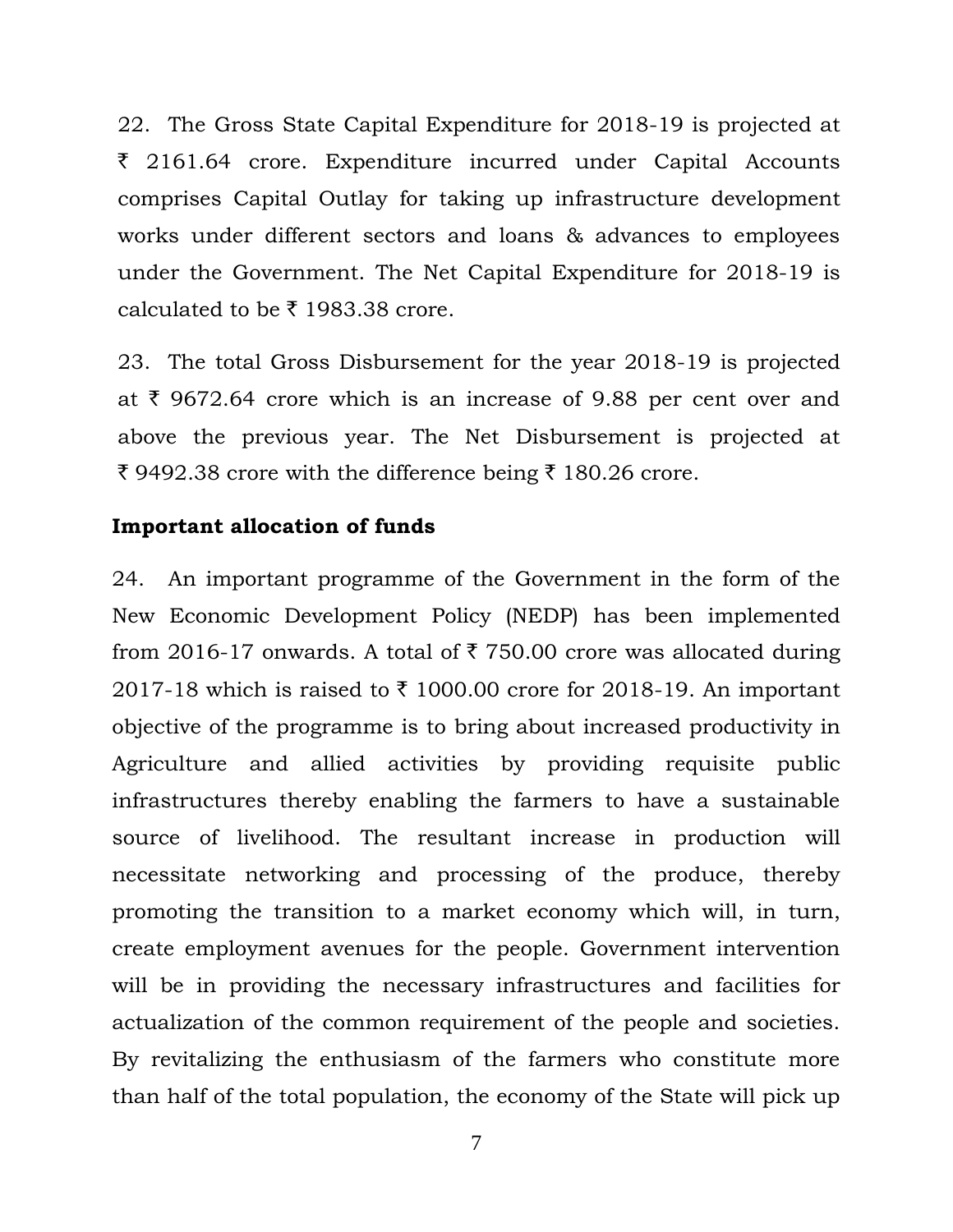22. The Gross State Capital Expenditure for 2018-19 is projected at  $\bar{\xi}$  2161.64 crore. Expenditure incurred under Capital Accounts comprises Capital Outlay for taking up infrastructure development works under different sectors and loans & advances to employees under the Government. The Net Capital Expenditure for 2018-19 is calculated to be  $\bar{\tau}$  1983.38 crore.

23. The total Gross Disbursement for the year 2018-19 is projected at  $\bar{\tau}$  9672.64 crore which is an increase of 9.88 per cent over and above the previous year. The Net Disbursement is projected at ₹ 9492.38 crore with the difference being ₹ 180.26 crore.

### **Important allocation of funds**

24. An important programme of the Government in the form of the New Economic Development Policy (NEDP) has been implemented from 2016-17 onwards. A total of  $\bar{\tau}$  750.00 crore was allocated during 2017-18 which is raised to  $\bar{\tau}$  1000.00 crore for 2018-19. An important objective of the programme is to bring about increased productivity in Agriculture and allied activities by providing requisite public infrastructures thereby enabling the farmers to have a sustainable source of livelihood. The resultant increase in production will necessitate networking and processing of the produce, thereby promoting the transition to a market economy which will, in turn, create employment avenues for the people. Government intervention will be in providing the necessary infrastructures and facilities for actualization of the common requirement of the people and societies. By revitalizing the enthusiasm of the farmers who constitute more than half of the total population, the economy of the State will pick up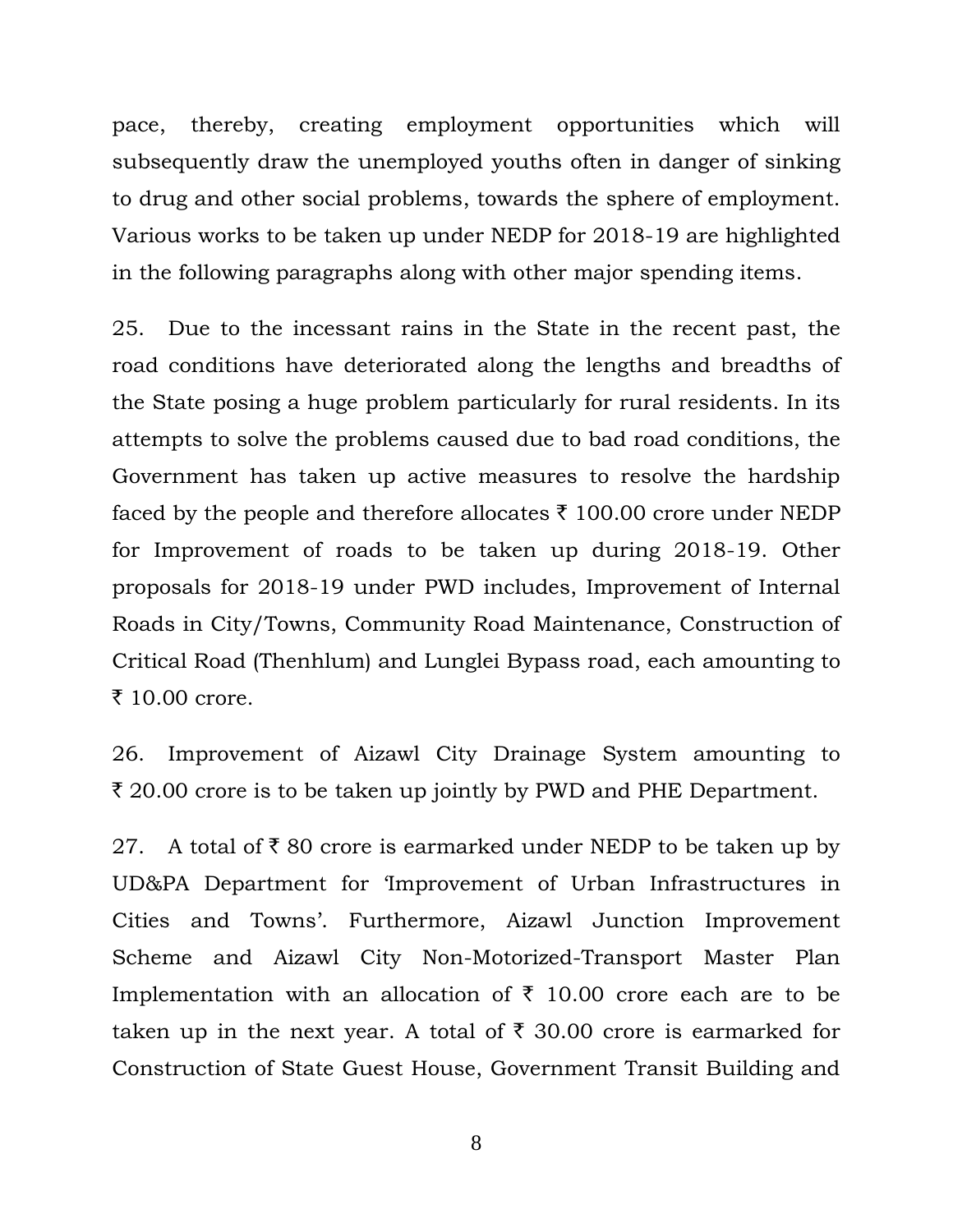pace, thereby, creating employment opportunities which will subsequently draw the unemployed youths often in danger of sinking to drug and other social problems, towards the sphere of employment. Various works to be taken up under NEDP for 2018-19 are highlighted in the following paragraphs along with other major spending items.

25. Due to the incessant rains in the State in the recent past, the road conditions have deteriorated along the lengths and breadths of the State posing a huge problem particularly for rural residents. In its attempts to solve the problems caused due to bad road conditions, the Government has taken up active measures to resolve the hardship faced by the people and therefore allocates  $\bar{\tau}$  100.00 crore under NEDP for Improvement of roads to be taken up during 2018-19. Other proposals for 2018-19 under PWD includes, Improvement of Internal Roads in City/Towns, Community Road Maintenance, Construction of Critical Road (Thenhlum) and Lunglei Bypass road, each amounting to  $\bar{x}$  10.00 crore.

26. Improvement of Aizawl City Drainage System amounting to  $\bar{\tau}$  20.00 crore is to be taken up jointly by PWD and PHE Department.

27. A total of  $\bar{\tau}$  80 crore is earmarked under NEDP to be taken up by UD&PA Department for "Improvement of Urban Infrastructures in Cities and Towns'. Furthermore, Aizawl Junction Improvement Scheme and Aizawl City Non-Motorized-Transport Master Plan Implementation with an allocation of  $\bar{\tau}$  10.00 crore each are to be taken up in the next year. A total of  $\bar{\tau}$  30.00 crore is earmarked for Construction of State Guest House, Government Transit Building and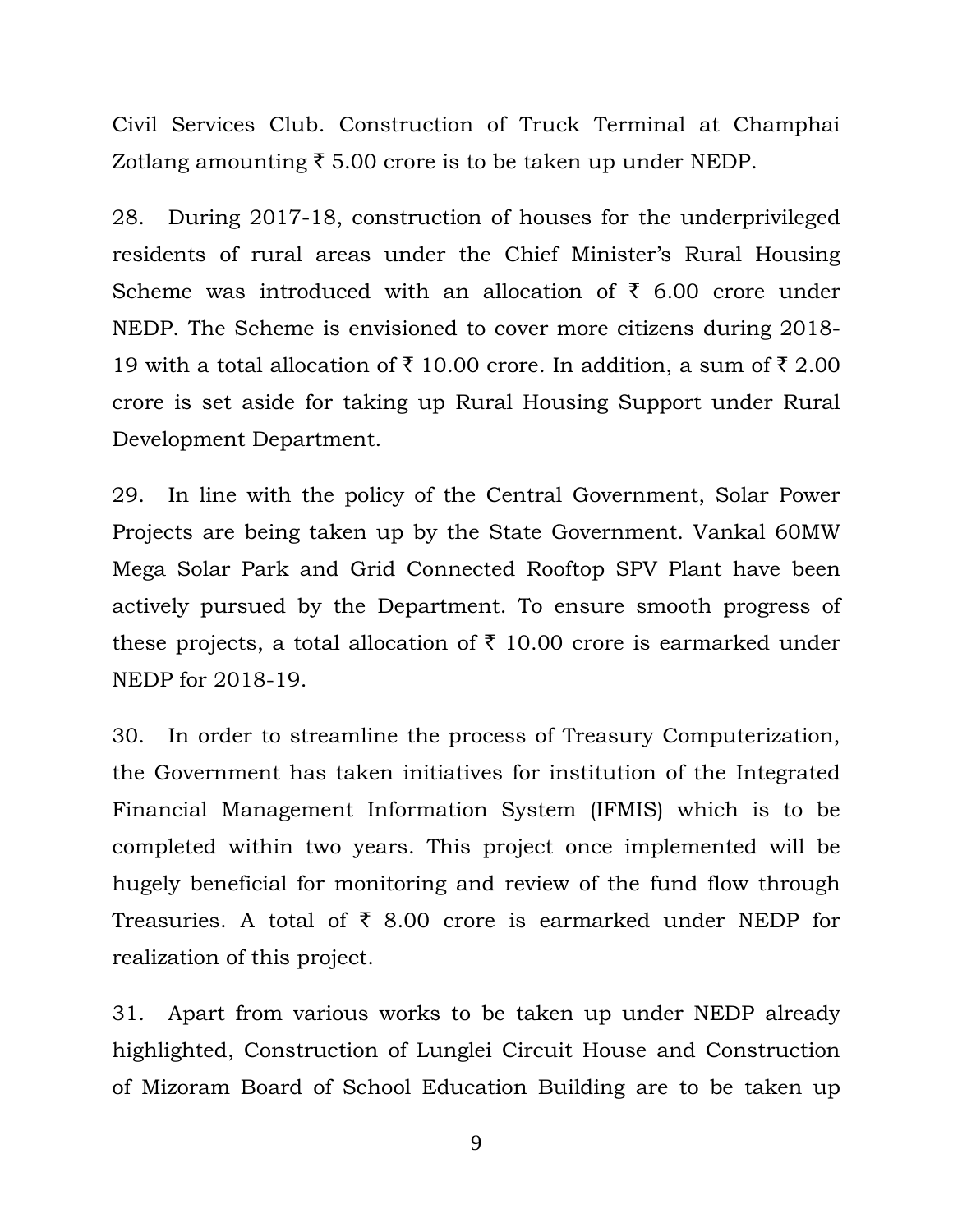Civil Services Club. Construction of Truck Terminal at Champhai Zotlang amounting  $\bar{\xi}$  5.00 crore is to be taken up under NEDP.

28. During 2017-18, construction of houses for the underprivileged residents of rural areas under the Chief Minister's Rural Housing Scheme was introduced with an allocation of  $\bar{\tau}$  6.00 crore under NEDP. The Scheme is envisioned to cover more citizens during 2018- 19 with a total allocation of  $\bar{\tau}$  10.00 crore. In addition, a sum of  $\bar{\tau}$  2.00 crore is set aside for taking up Rural Housing Support under Rural Development Department.

29. In line with the policy of the Central Government, Solar Power Projects are being taken up by the State Government. Vankal 60MW Mega Solar Park and Grid Connected Rooftop SPV Plant have been actively pursued by the Department. To ensure smooth progress of these projects, a total allocation of  $\bar{\tau}$  10.00 crore is earmarked under NEDP for 2018-19.

30. In order to streamline the process of Treasury Computerization, the Government has taken initiatives for institution of the Integrated Financial Management Information System (IFMIS) which is to be completed within two years. This project once implemented will be hugely beneficial for monitoring and review of the fund flow through Treasuries. A total of  $\bar{\tau}$  8.00 crore is earmarked under NEDP for realization of this project.

31. Apart from various works to be taken up under NEDP already highlighted, Construction of Lunglei Circuit House and Construction of Mizoram Board of School Education Building are to be taken up

<sup>9</sup>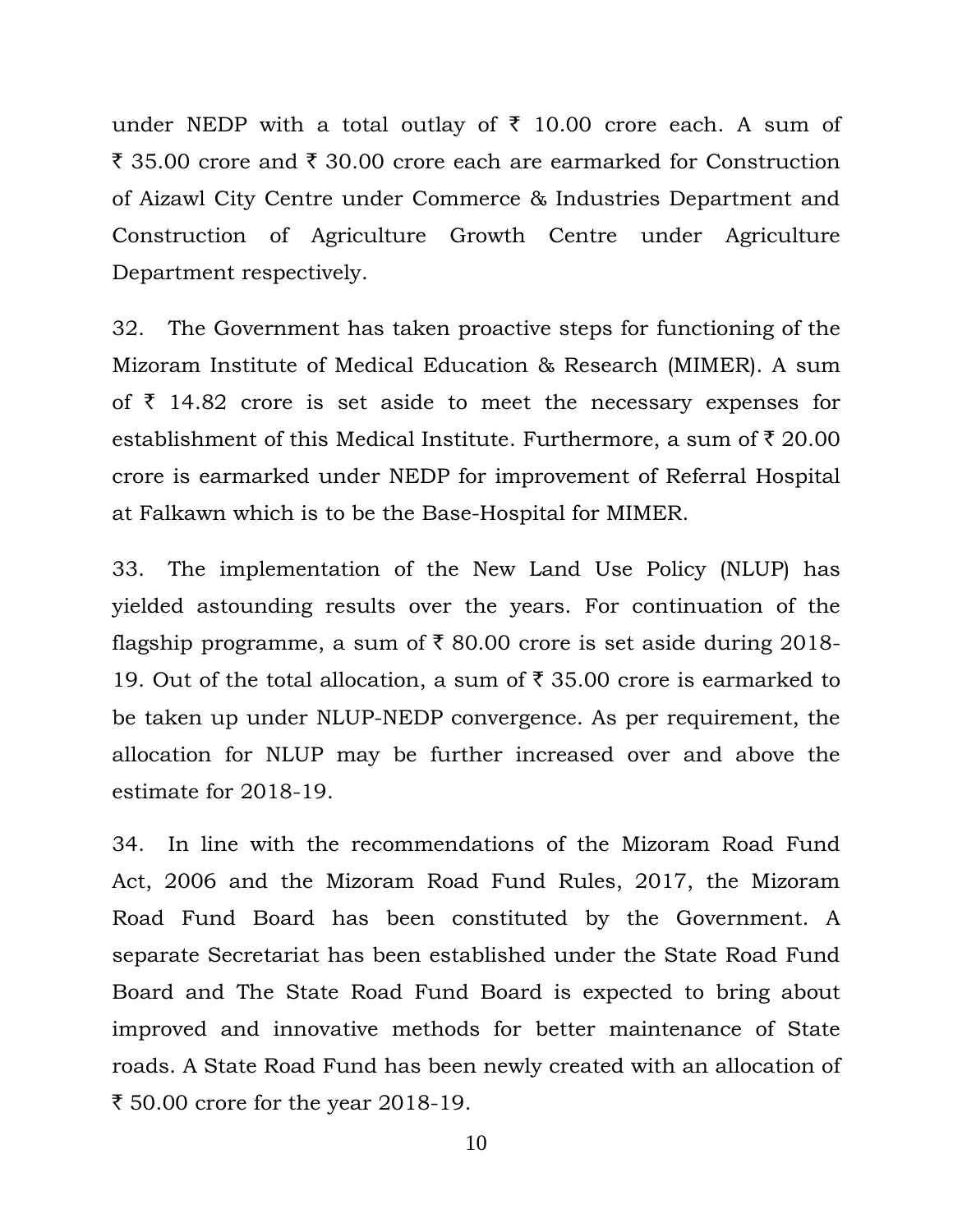under NEDP with a total outlay of  $\bar{\tau}$  10.00 crore each. A sum of  $\bar{\tau}$  35.00 crore and  $\bar{\tau}$  30.00 crore each are earmarked for Construction of Aizawl City Centre under Commerce & Industries Department and Construction of Agriculture Growth Centre under Agriculture Department respectively.

32. The Government has taken proactive steps for functioning of the Mizoram Institute of Medical Education & Research (MIMER). A sum of  $\bar{\tau}$  14.82 crore is set aside to meet the necessary expenses for establishment of this Medical Institute. Furthermore, a sum of  $\bar{\tau}$  20.00 crore is earmarked under NEDP for improvement of Referral Hospital at Falkawn which is to be the Base-Hospital for MIMER.

33. The implementation of the New Land Use Policy (NLUP) has yielded astounding results over the years. For continuation of the flagship programme, a sum of  $\bar{\tau}$  80.00 crore is set aside during 2018-19. Out of the total allocation, a sum of  $\bar{\tau}$  35.00 crore is earmarked to be taken up under NLUP-NEDP convergence. As per requirement, the allocation for NLUP may be further increased over and above the estimate for 2018-19.

34. In line with the recommendations of the Mizoram Road Fund Act, 2006 and the Mizoram Road Fund Rules, 2017, the Mizoram Road Fund Board has been constituted by the Government. A separate Secretariat has been established under the State Road Fund Board and The State Road Fund Board is expected to bring about improved and innovative methods for better maintenance of State roads. A State Road Fund has been newly created with an allocation of ₹ 50.00 crore for the year 2018-19.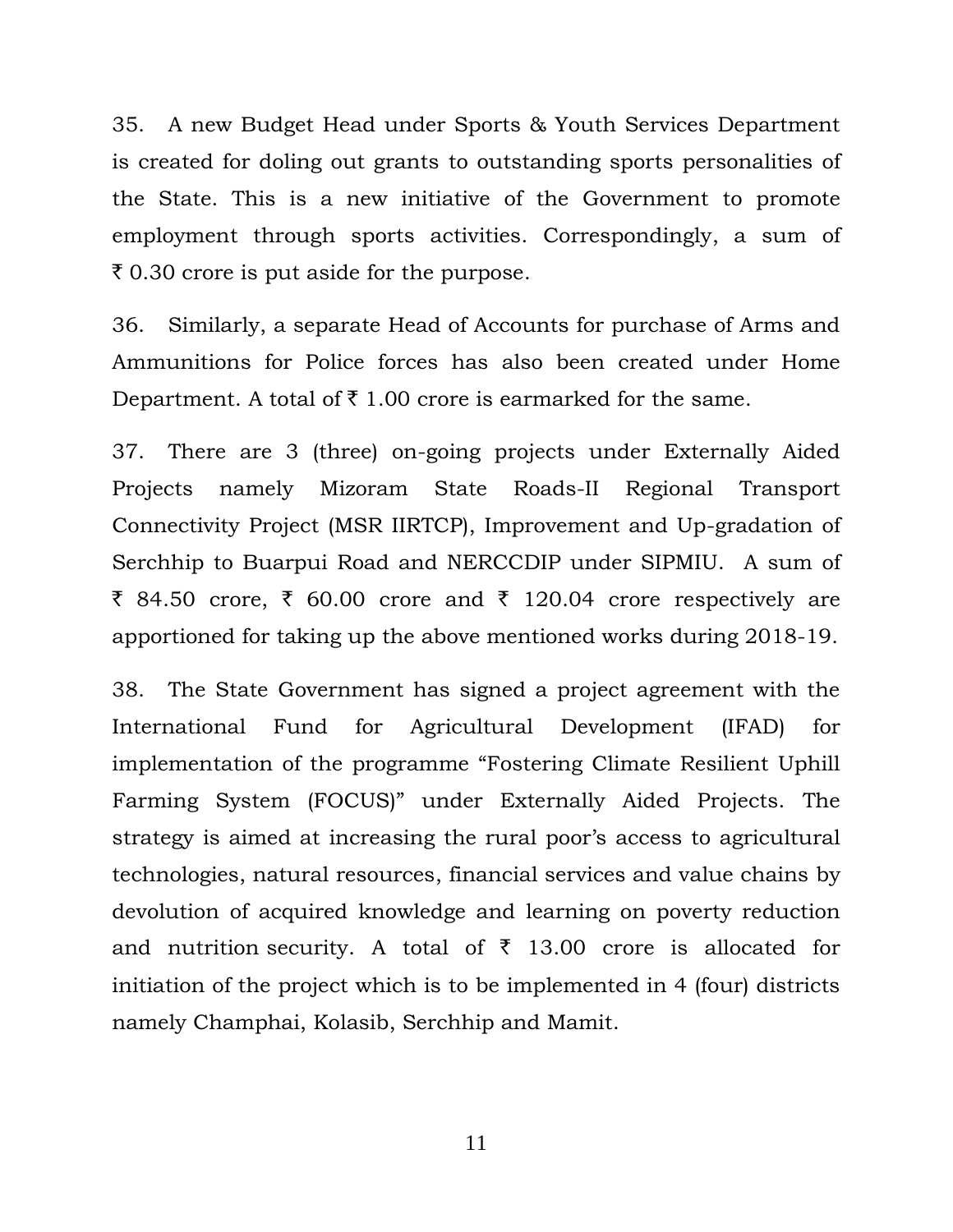35. A new Budget Head under Sports & Youth Services Department is created for doling out grants to outstanding sports personalities of the State. This is a new initiative of the Government to promote employment through sports activities. Correspondingly, a sum of  $\bar{\tau}$  0.30 crore is put aside for the purpose.

36. Similarly, a separate Head of Accounts for purchase of Arms and Ammunitions for Police forces has also been created under Home Department. A total of  $\bar{\tau}$  1.00 crore is earmarked for the same.

37. There are 3 (three) on-going projects under Externally Aided Projects namely Mizoram State Roads-II Regional Transport Connectivity Project (MSR IIRTCP), Improvement and Up-gradation of Serchhip to Buarpui Road and NERCCDIP under SIPMIU. A sum of ₹ 84.50 crore, ₹ 60.00 crore and ₹ 120.04 crore respectively are apportioned for taking up the above mentioned works during 2018-19.

38. The State Government has signed a project agreement with the International Fund for Agricultural Development (IFAD) for implementation of the programme "Fostering Climate Resilient Uphill Farming System (FOCUS)" under Externally Aided Projects. The strategy is aimed at increasing the rural poor's access to agricultural technologies, natural resources, financial services and value chains by devolution of acquired knowledge and learning on poverty reduction and nutrition security. A total of  $\bar{\tau}$  13.00 crore is allocated for initiation of the project which is to be implemented in 4 (four) districts namely Champhai, Kolasib, Serchhip and Mamit.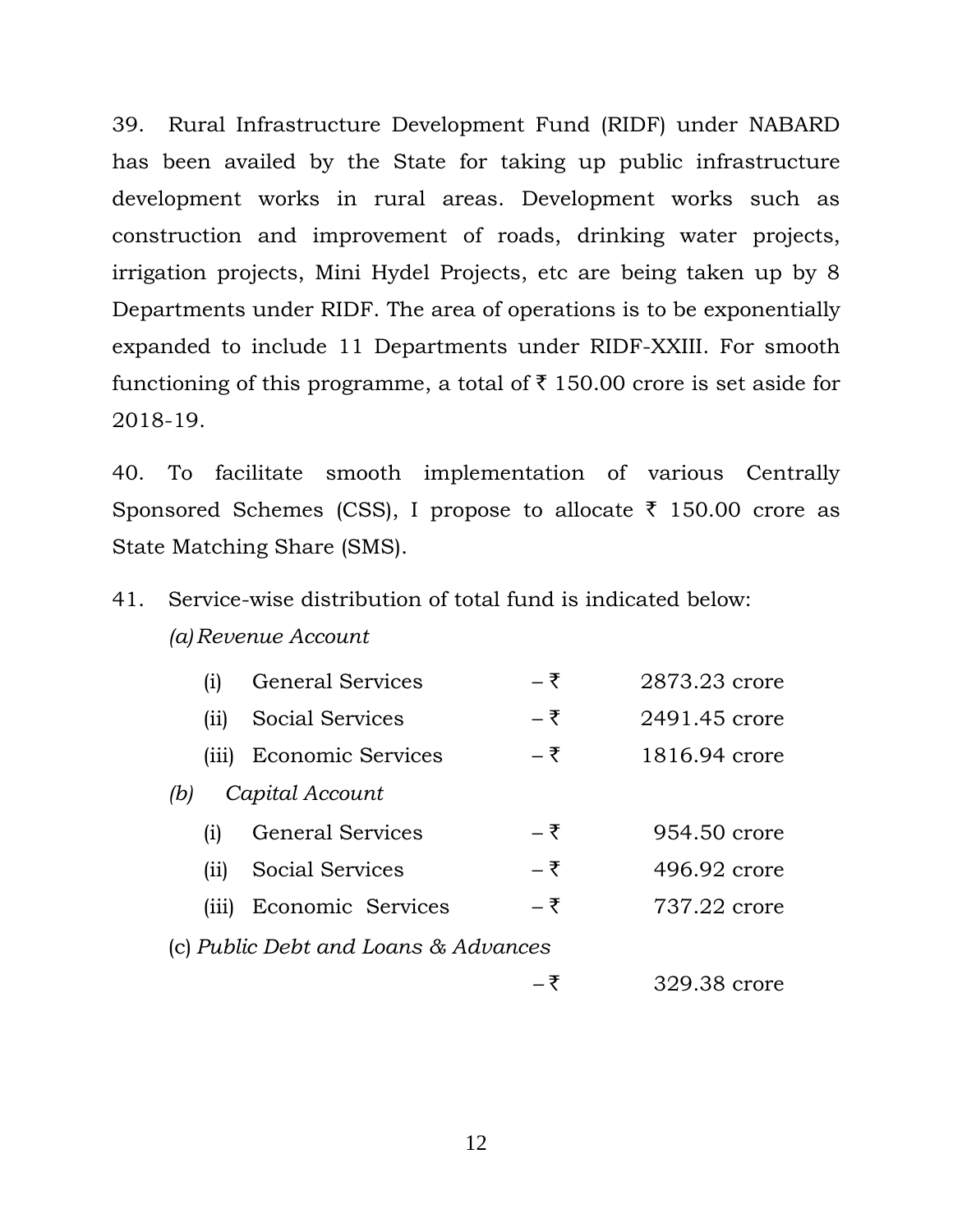39. Rural Infrastructure Development Fund (RIDF) under NABARD has been availed by the State for taking up public infrastructure development works in rural areas. Development works such as construction and improvement of roads, drinking water projects, irrigation projects, Mini Hydel Projects, etc are being taken up by 8 Departments under RIDF. The area of operations is to be exponentially expanded to include 11 Departments under RIDF-XXIII. For smooth functioning of this programme, a total of  $\bar{\tau}$  150.00 crore is set aside for 2018-19.

40. To facilitate smooth implementation of various Centrally Sponsored Schemes (CSS), I propose to allocate  $\bar{\tau}$  150.00 crore as State Matching Share (SMS).

## 41. Service-wise distribution of total fund is indicated below:

### *(a) Revenue Account*

|                                      | $\overline{1}$     | <b>General Services</b>  | – ₹ | 2873.23 crore |
|--------------------------------------|--------------------|--------------------------|-----|---------------|
|                                      | (ii)               | Social Services          | – ₹ | 2491.45 crore |
|                                      | (iii)              | <b>Economic Services</b> | – ₹ | 1816.94 crore |
| Capital Account<br>(b)               |                    |                          |     |               |
|                                      | $\left( 1 \right)$ | <b>General Services</b>  | – ₹ | 954.50 crore  |
|                                      | (ii)               | Social Services          | – ₹ | 496.92 crore  |
|                                      | (iii)              | Economic Services        | – ₹ | 737.22 crore  |
| (c) Public Debt and Loans & Advances |                    |                          |     |               |
|                                      |                    |                          | — マ | 329.38 crore  |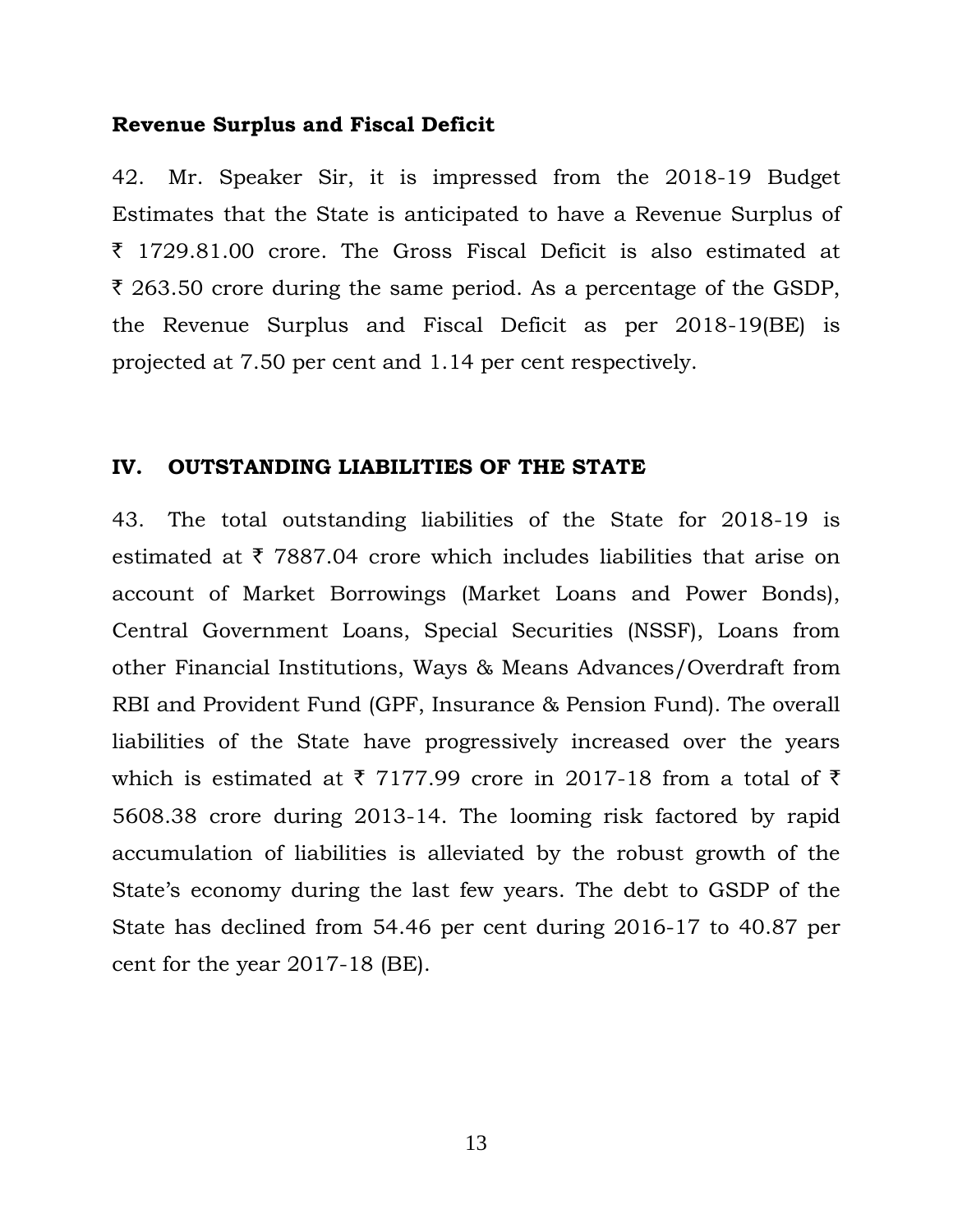#### **Revenue Surplus and Fiscal Deficit**

42. Mr. Speaker Sir, it is impressed from the 2018-19 Budget Estimates that the State is anticipated to have a Revenue Surplus of  $\bar{\tau}$  1729.81.00 crore. The Gross Fiscal Deficit is also estimated at  $\bar{\tau}$  263.50 crore during the same period. As a percentage of the GSDP, the Revenue Surplus and Fiscal Deficit as per 2018-19(BE) is projected at 7.50 per cent and 1.14 per cent respectively.

#### **IV. OUTSTANDING LIABILITIES OF THE STATE**

43. The total outstanding liabilities of the State for 2018-19 is estimated at  $\bar{\tau}$  7887.04 crore which includes liabilities that arise on account of Market Borrowings (Market Loans and Power Bonds), Central Government Loans, Special Securities (NSSF), Loans from other Financial Institutions, Ways & Means Advances/Overdraft from RBI and Provident Fund (GPF, Insurance & Pension Fund). The overall liabilities of the State have progressively increased over the years which is estimated at  $\bar{\tau}$  7177.99 crore in 2017-18 from a total of  $\bar{\tau}$ 5608.38 crore during 2013-14. The looming risk factored by rapid accumulation of liabilities is alleviated by the robust growth of the State's economy during the last few years. The debt to GSDP of the State has declined from 54.46 per cent during 2016-17 to 40.87 per cent for the year 2017-18 (BE).